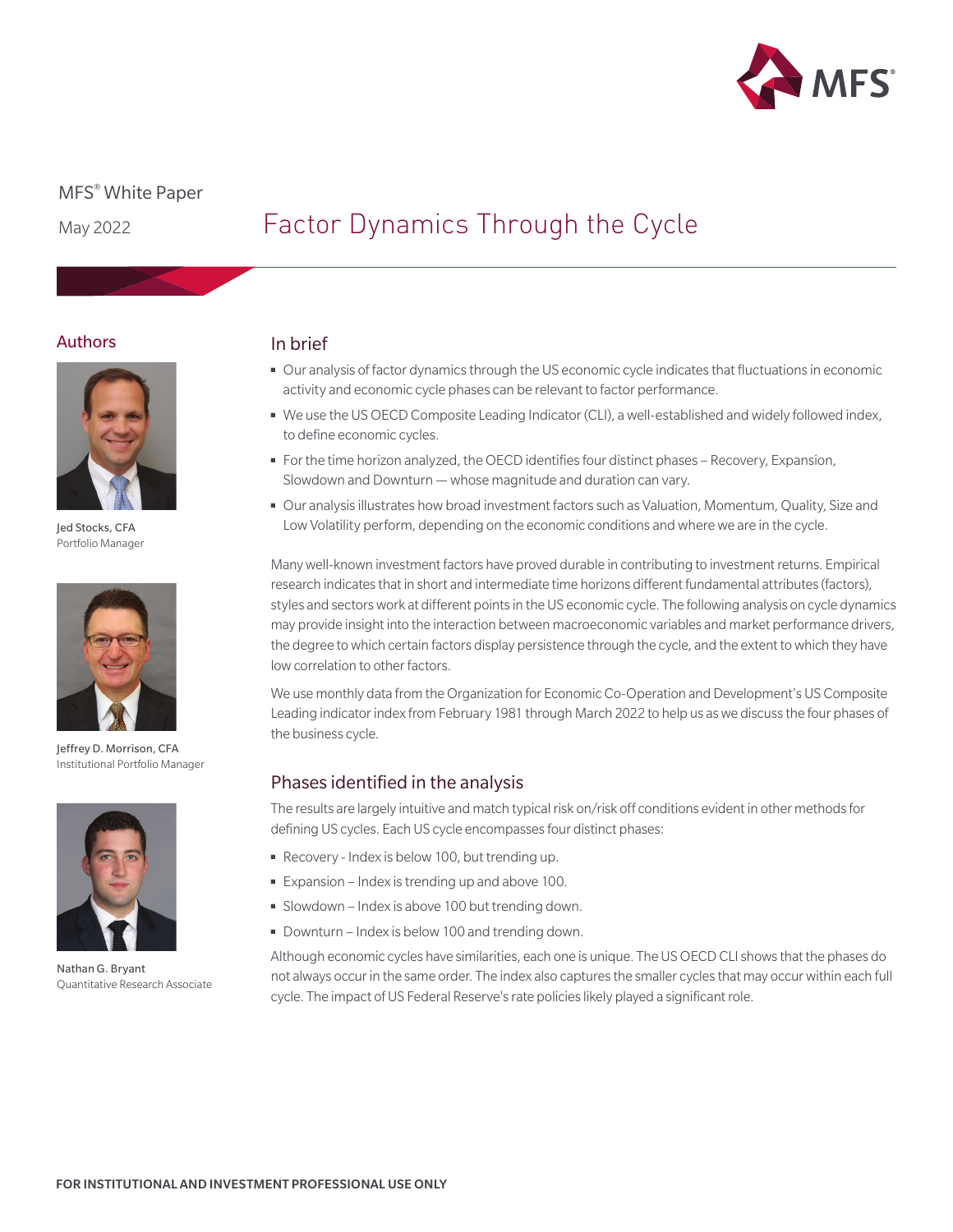

# MFS® White Paper

May 2022

# Factor Dynamics Through the Cycle

## Authors



Jed Stocks, CFA Portfolio Manager



Jeffrey D. Morrison, CFA Institutional Portfolio Manager



Nathan G. Bryant Quantitative Research Associate

# In brief

- Our analysis of factor dynamics through the US economic cycle indicates that fluctuations in economic activity and economic cycle phases can be relevant to factor performance.
- We use the US OECD Composite Leading Indicator (CLI), a well-established and widely followed index, to define economic cycles.
- For the time horizon analyzed, the OECD identifies four distinct phases Recovery, Expansion, Slowdown and Downturn — whose magnitude and duration can vary.
- Our analysis illustrates how broad investment factors such as Valuation, Momentum, Quality, Size and Low Volatility perform, depending on the economic conditions and where we are in the cycle.

Many well-known investment factors have proved durable in contributing to investment returns. Empirical research indicates that in short and intermediate time horizons different fundamental attributes (factors), styles and sectors work at different points in the US economic cycle. The following analysis on cycle dynamics may provide insight into the interaction between macroeconomic variables and market performance drivers, the degree to which certain factors display persistence through the cycle, and the extent to which they have low correlation to other factors.

We use monthly data from the Organization for Economic Co-Operation and Development's US Composite Leading indicator index from February 1981 through March 2022 to help us as we discuss the four phases of the business cycle.

# Phases identified in the analysis

The results are largely intuitive and match typical risk on/risk off conditions evident in other methods for defining US cycles. Each US cycle encompasses four distinct phases:

- Recovery Index is below 100, but trending up.
- Expansion Index is trending up and above 100.
- Slowdown Index is above 100 but trending down.
- Downturn Index is below 100 and trending down.

Although economic cycles have similarities, each one is unique. The US OECD CLI shows that the phases do not always occur in the same order. The index also captures the smaller cycles that may occur within each full cycle. The impact of US Federal Reserve's rate policies likely played a significant role.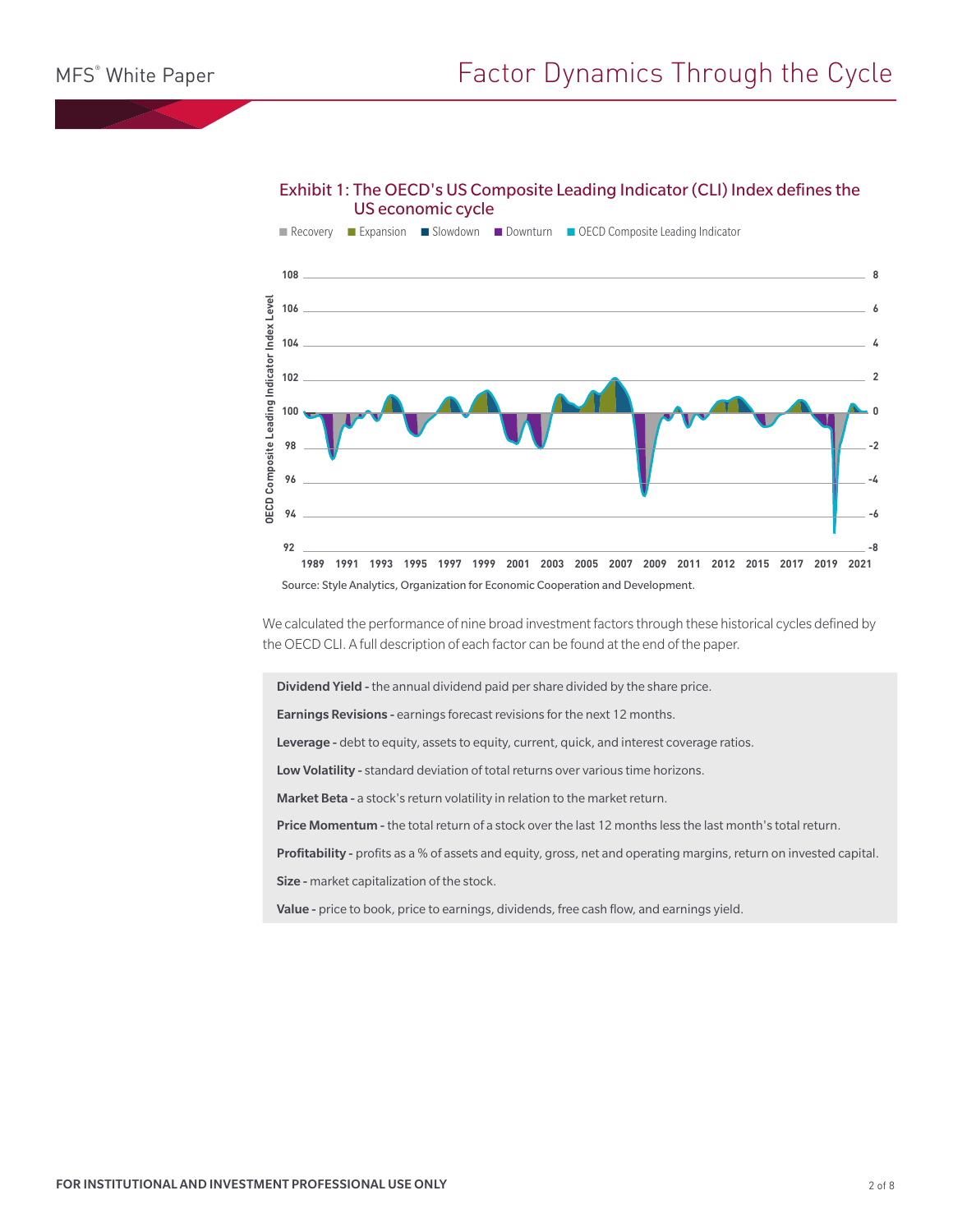## Exhibit 1: The OECD's US Composite Leading Indicator (CLI) Index defines the US economic cycle



We calculated the performance of nine broad investment factors through these historical cycles defined by the OECD CLI. A full description of each factor can be found at the end of the paper.

Dividend Yield - the annual dividend paid per share divided by the share price.

Earnings Revisions - earnings forecast revisions for the next 12 months.

Leverage - debt to equity, assets to equity, current, quick, and interest coverage ratios.

Low Volatility - standard deviation of total returns over various time horizons.

Market Beta - a stock's return volatility in relation to the market return.

Price Momentum - the total return of a stock over the last 12 months less the last month's total return.

Profitability - profits as a % of assets and equity, gross, net and operating margins, return on invested capital. Size - market capitalization of the stock.

Value - price to book, price to earnings, dividends, free cash flow, and earnings yield.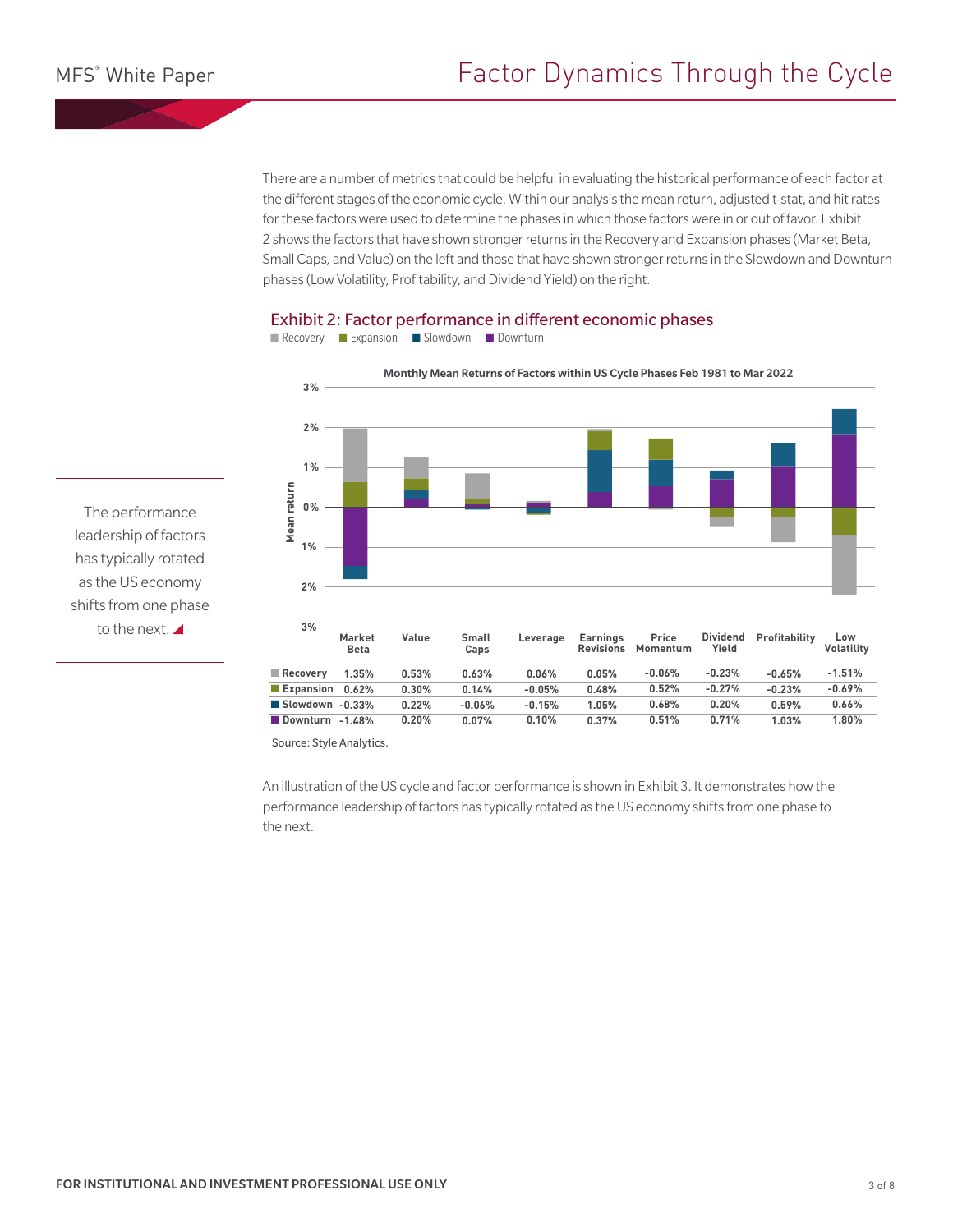There are a number of metrics that could be helpful in evaluating the historical performance of each factor at the different stages of the economic cycle. Within our analysis the mean return, adjusted t-stat, and hit rates for these factors were used to determine the phases in which those factors were in or out of favor. Exhibit 2 shows the factors that have shown stronger returns in the Recovery and Expansion phases (Market Beta, Small Caps, and Value) on the left and those that have shown stronger returns in the Slowdown and Downturn phases (Low Volatility, Profitability, and Dividend Yield) on the right.



## Exhibit 2: Factor performance in different economic phases

The performance leadership of factors has typically rotated as the US economy shifts from one phase to the next.

■ Recovery ■ Expansion ■ Slowdown ■ Downturn

An illustration of the US cycle and factor performance is shown in Exhibit 3. It demonstrates how the performance leadership of factors has typically rotated as the US economy shifts from one phase to the next.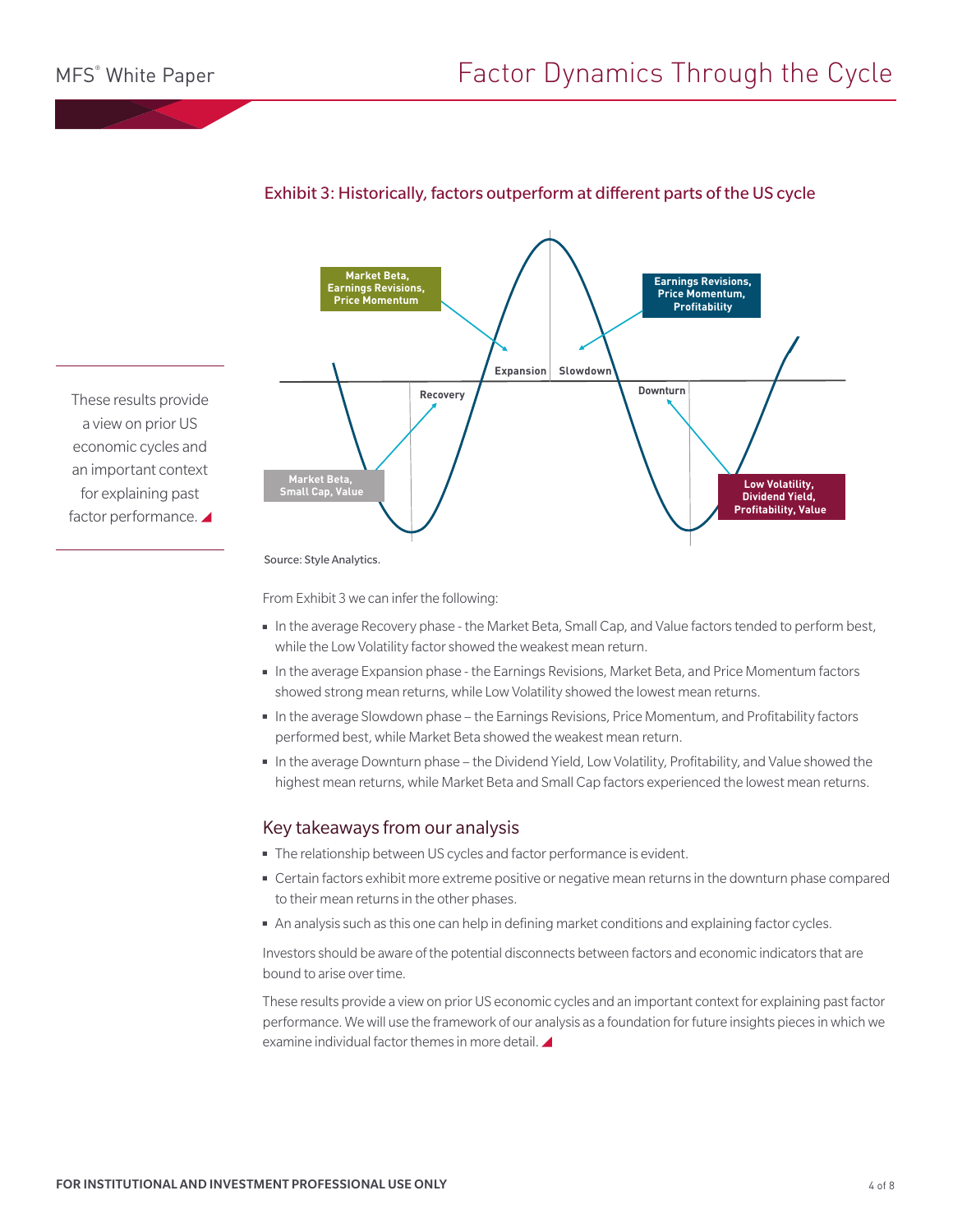

# Exhibit 3: Historically, factors outperform at different parts of the US cycle

These results provide a view on prior US economic cycles and an important context for explaining past factor performance.

Source: Style Analytics.

From Exhibit 3 we can infer the following:

- In the average Recovery phase the Market Beta, Small Cap, and Value factors tended to perform best, while the Low Volatility factor showed the weakest mean return.
- In the average Expansion phase the Earnings Revisions, Market Beta, and Price Momentum factors showed strong mean returns, while Low Volatility showed the lowest mean returns.
- In the average Slowdown phase the Earnings Revisions, Price Momentum, and Profitability factors performed best, while Market Beta showed the weakest mean return.
- In the average Downturn phase the Dividend Yield, Low Volatility, Profitability, and Value showed the highest mean returns, while Market Beta and Small Cap factors experienced the lowest mean returns.

## Key takeaways from our analysis

- The relationship between US cycles and factor performance is evident.
- Certain factors exhibit more extreme positive or negative mean returns in the downturn phase compared to their mean returns in the other phases.
- An analysis such as this one can help in defining market conditions and explaining factor cycles.

Investors should be aware of the potential disconnects between factors and economic indicators that are bound to arise over time.

These results provide a view on prior US economic cycles and an important context for explaining past factor performance. We will use the framework of our analysis as a foundation for future insights pieces in which we examine individual factor themes in more detail.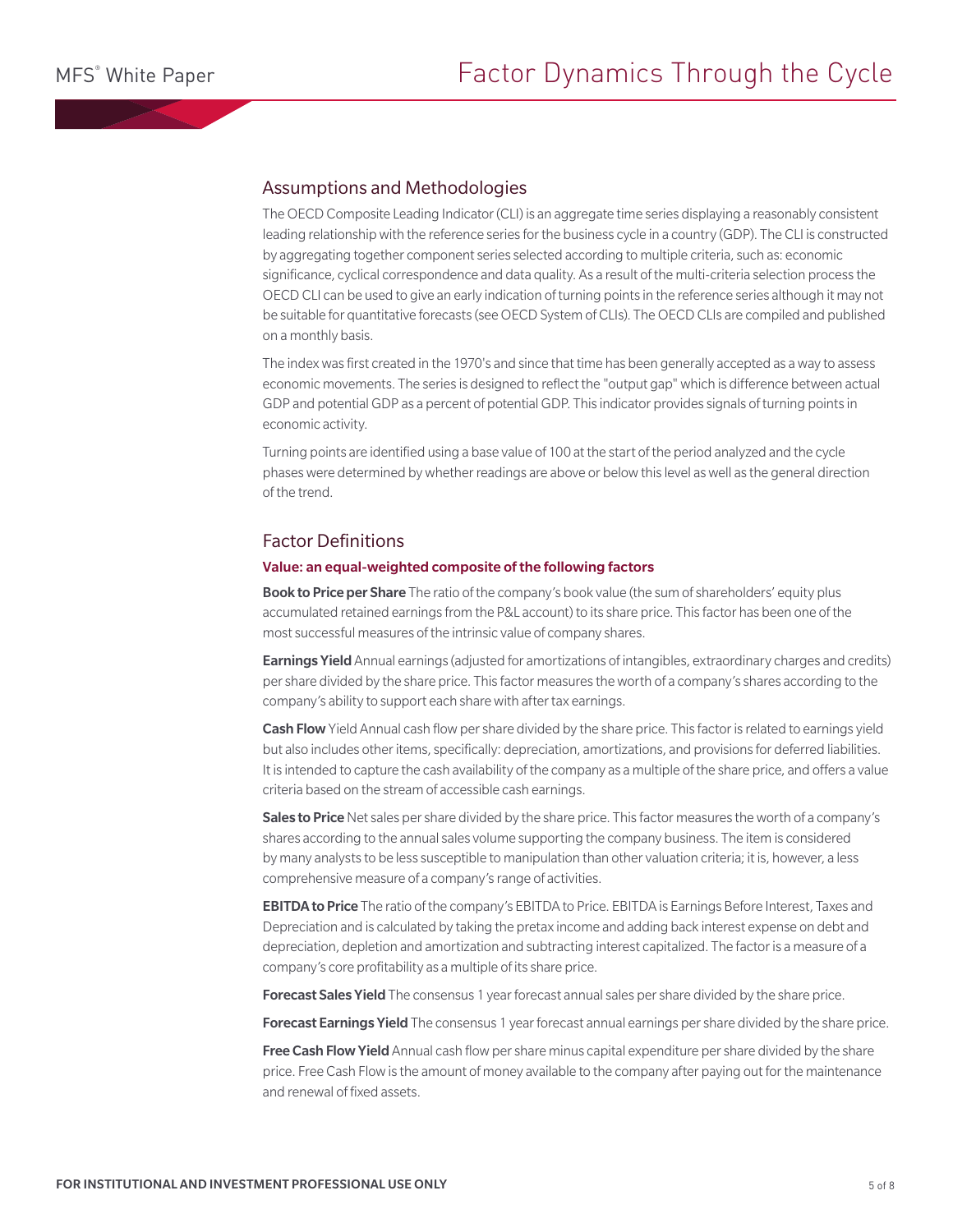## Assumptions and Methodologies

The OECD Composite Leading Indicator (CLI) is an aggregate time series displaying a reasonably consistent leading relationship with the reference series for the business cycle in a country (GDP). The CLI is constructed by aggregating together component series selected according to multiple criteria, such as: economic significance, cyclical correspondence and data quality. As a result of the multi-criteria selection process the OECD CLI can be used to give an early indication of turning points in the reference series although it may not be suitable for quantitative forecasts (see OECD System of CLIs). The OECD CLIs are compiled and published on a monthly basis.

The index was first created in the 1970's and since that time has been generally accepted as a way to assess economic movements. The series is designed to reflect the "output gap" which is difference between actual GDP and potential GDP as a percent of potential GDP. This indicator provides signals of turning points in economic activity.

Turning points are identified using a base value of 100 at the start of the period analyzed and the cycle phases were determined by whether readings are above or below this level as well as the general direction of the trend.

## Factor Definitions

### Value: an equal-weighted composite of the following factors

Book to Price per Share The ratio of the company's book value (the sum of shareholders' equity plus accumulated retained earnings from the P&L account) to its share price. This factor has been one of the most successful measures of the intrinsic value of company shares.

**Earnings Yield** Annual earnings (adjusted for amortizations of intangibles, extraordinary charges and credits) per share divided by the share price. This factor measures the worth of a company's shares according to the company's ability to support each share with after tax earnings.

Cash Flow Yield Annual cash flow per share divided by the share price. This factor is related to earnings yield but also includes other items, specifically: depreciation, amortizations, and provisions for deferred liabilities. It is intended to capture the cash availability of the company as a multiple of the share price, and offers a value criteria based on the stream of accessible cash earnings.

Sales to Price Net sales per share divided by the share price. This factor measures the worth of a company's shares according to the annual sales volume supporting the company business. The item is considered by many analysts to be less susceptible to manipulation than other valuation criteria; it is, however, a less comprehensive measure of a company's range of activities.

**EBITDA to Price** The ratio of the company's EBITDA to Price. EBITDA is Earnings Before Interest, Taxes and Depreciation and is calculated by taking the pretax income and adding back interest expense on debt and depreciation, depletion and amortization and subtracting interest capitalized. The factor is a measure of a company's core profitability as a multiple of its share price.

Forecast Sales Yield The consensus 1 year forecast annual sales per share divided by the share price.

Forecast Earnings Yield The consensus 1 year forecast annual earnings per share divided by the share price.

Free Cash Flow Yield Annual cash flow per share minus capital expenditure per share divided by the share price. Free Cash Flow is the amount of money available to the company after paying out for the maintenance and renewal of fixed assets.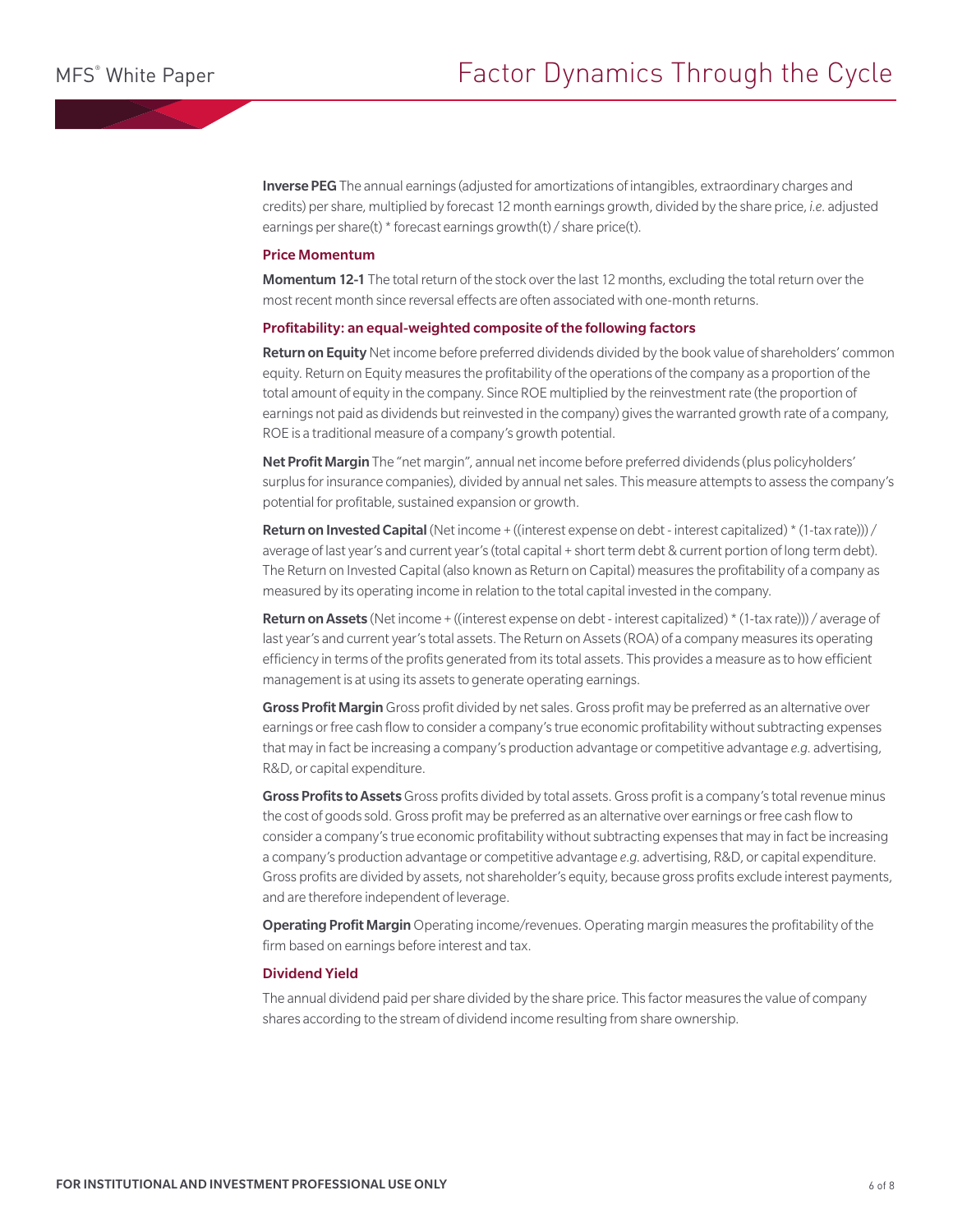Inverse PEG The annual earnings (adjusted for amortizations of intangibles, extraordinary charges and credits) per share, multiplied by forecast 12 month earnings growth, divided by the share price, *i.e.* adjusted earnings per share(t) \* forecast earnings growth(t) / share price(t).

#### Price Momentum

Momentum 12-1 The total return of the stock over the last 12 months, excluding the total return over the most recent month since reversal effects are often associated with one-month returns.

#### Profitability: an equal-weighted composite of the following factors

Return on Equity Net income before preferred dividends divided by the book value of shareholders' common equity. Return on Equity measures the profitability of the operations of the company as a proportion of the total amount of equity in the company. Since ROE multiplied by the reinvestment rate (the proportion of earnings not paid as dividends but reinvested in the company) gives the warranted growth rate of a company, ROE is a traditional measure of a company's growth potential.

Net Profit Margin The "net margin", annual net income before preferred dividends (plus policyholders' surplus for insurance companies), divided by annual net sales. This measure attempts to assess the company's potential for profitable, sustained expansion or growth.

Return on Invested Capital (Net income + ((interest expense on debt - interest capitalized) \* (1-tax rate))) / average of last year's and current year's (total capital + short term debt & current portion of long term debt). The Return on Invested Capital (also known as Return on Capital) measures the profitability of a company as measured by its operating income in relation to the total capital invested in the company.

**Return on Assets** (Net income + ((interest expense on debt - interest capitalized)  $*(1-tax rate))$ ) / average of last year's and current year's total assets. The Return on Assets (ROA) of a company measures its operating efficiency in terms of the profits generated from its total assets. This provides a measure as to how efficient management is at using its assets to generate operating earnings.

Gross Profit Margin Gross profit divided by net sales. Gross profit may be preferred as an alternative over earnings or free cash flow to consider a company's true economic profitability without subtracting expenses that may in fact be increasing a company's production advantage or competitive advantage *e.g.* advertising, R&D, or capital expenditure.

Gross Profits to Assets Gross profits divided by total assets. Gross profit is a company's total revenue minus the cost of goods sold. Gross profit may be preferred as an alternative over earnings or free cash flow to consider a company's true economic profitability without subtracting expenses that may in fact be increasing a company's production advantage or competitive advantage *e.g*. advertising, R&D, or capital expenditure. Gross profits are divided by assets, not shareholder's equity, because gross profits exclude interest payments, and are therefore independent of leverage.

Operating Profit Margin Operating income/revenues. Operating margin measures the profitability of the firm based on earnings before interest and tax.

## Dividend Yield

The annual dividend paid per share divided by the share price. This factor measures the value of company shares according to the stream of dividend income resulting from share ownership.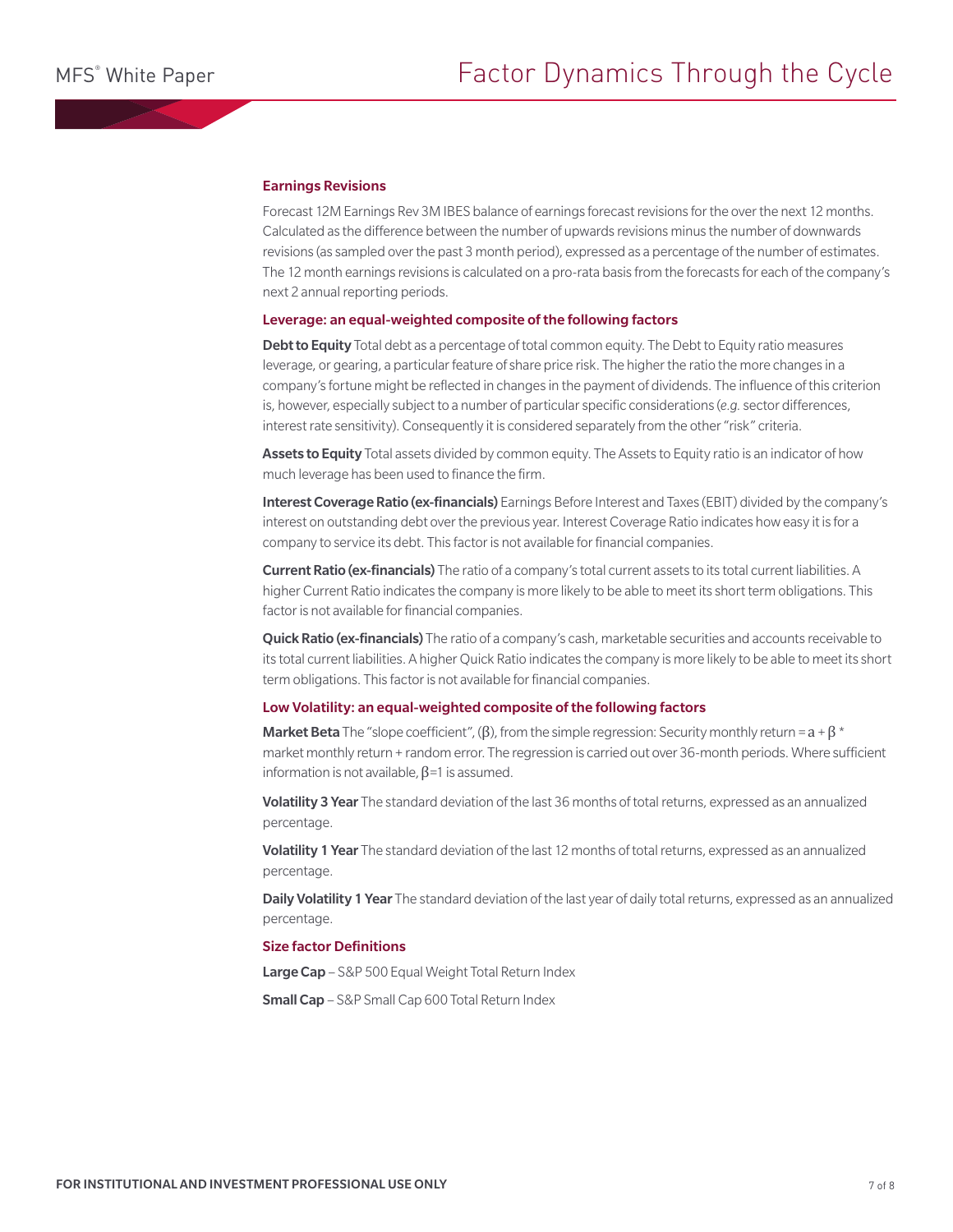### Earnings Revisions

Forecast 12M Earnings Rev 3M IBES balance of earnings forecast revisions for the over the next 12 months. Calculated as the difference between the number of upwards revisions minus the number of downwards revisions (as sampled over the past 3 month period), expressed as a percentage of the number of estimates. The 12 month earnings revisions is calculated on a pro-rata basis from the forecasts for each of the company's next 2 annual reporting periods.

#### Leverage: an equal-weighted composite of the following factors

Debt to Equity Total debt as a percentage of total common equity. The Debt to Equity ratio measures leverage, or gearing, a particular feature of share price risk. The higher the ratio the more changes in a company's fortune might be reflected in changes in the payment of dividends. The influence of this criterion is, however, especially subject to a number of particular specific considerations (*e.g.* sector differences, interest rate sensitivity). Consequently it is considered separately from the other "risk" criteria.

Assets to Equity Total assets divided by common equity. The Assets to Equity ratio is an indicator of how much leverage has been used to finance the firm.

Interest Coverage Ratio (ex-financials) Earnings Before Interest and Taxes (EBIT) divided by the company's interest on outstanding debt over the previous year. Interest Coverage Ratio indicates how easy it is for a company to service its debt. This factor is not available for financial companies.

**Current Ratio (ex-financials)** The ratio of a company's total current assets to its total current liabilities. A higher Current Ratio indicates the company is more likely to be able to meet its short term obligations. This factor is not available for financial companies.

Quick Ratio (ex-financials) The ratio of a company's cash, marketable securities and accounts receivable to its total current liabilities. A higher Quick Ratio indicates the company is more likely to be able to meet its short term obligations. This factor is not available for financial companies.

### Low Volatility: an equal-weighted composite of the following factors

**Market Beta** The "slope coefficient", ( $\beta$ ), from the simple regression: Security monthly return =  $a + \beta$  \* market monthly return + random error. The regression is carried out over 36-month periods. Where sufficient information is not available,  $β=1$  is assumed.

Volatility 3 Year The standard deviation of the last 36 months of total returns, expressed as an annualized percentage.

Volatility 1 Year The standard deviation of the last 12 months of total returns, expressed as an annualized percentage.

Daily Volatility 1 Year The standard deviation of the last year of daily total returns, expressed as an annualized percentage.

## Size factor Definitions

Large Cap - S&P 500 Equal Weight Total Return Index

Small Cap – S&P Small Cap 600 Total Return Index